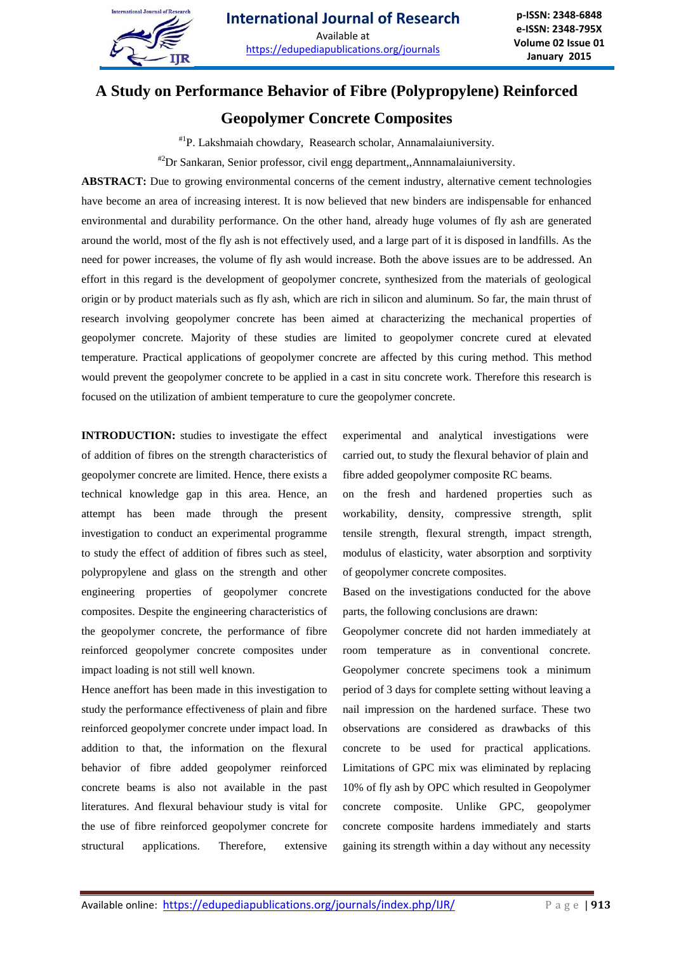

# **A Study on Performance Behavior of Fibre (Polypropylene) Reinforced**

## **Geopolymer Concrete Composites**

#1P. Lakshmaiah chowdary, Reasearch scholar, Annamalaiuniversity.

#2Dr Sankaran, Senior professor, civil engg department,,Annnamalaiuniversity.

**ABSTRACT:** Due to growing environmental concerns of the cement industry, alternative cement technologies have become an area of increasing interest. It is now believed that new binders are indispensable for enhanced environmental and durability performance. On the other hand, already huge volumes of fly ash are generated around the world, most of the fly ash is not effectively used, and a large part of it is disposed in landfills. As the need for power increases, the volume of fly ash would increase. Both the above issues are to be addressed. An effort in this regard is the development of geopolymer concrete, synthesized from the materials of geological origin or by product materials such as fly ash, which are rich in silicon and aluminum. So far, the main thrust of research involving geopolymer concrete has been aimed at characterizing the mechanical properties of geopolymer concrete. Majority of these studies are limited to geopolymer concrete cured at elevated temperature. Practical applications of geopolymer concrete are affected by this curing method. This method would prevent the geopolymer concrete to be applied in a cast in situ concrete work. Therefore this research is focused on the utilization of ambient temperature to cure the geopolymer concrete.

**INTRODUCTION:** studies to investigate the effect of addition of fibres on the strength characteristics of geopolymer concrete are limited. Hence, there exists a technical knowledge gap in this area. Hence, an attempt has been made through the present investigation to conduct an experimental programme to study the effect of addition of fibres such as steel, polypropylene and glass on the strength and other engineering properties of geopolymer concrete composites. Despite the engineering characteristics of the geopolymer concrete, the performance of fibre reinforced geopolymer concrete composites under impact loading is not still well known.

Hence aneffort has been made in this investigation to study the performance effectiveness of plain and fibre reinforced geopolymer concrete under impact load. In addition to that, the information on the flexural behavior of fibre added geopolymer reinforced concrete beams is also not available in the past literatures. And flexural behaviour study is vital for the use of fibre reinforced geopolymer concrete for structural applications. Therefore, extensive experimental and analytical investigations were carried out, to study the flexural behavior of plain and fibre added geopolymer composite RC beams.

on the fresh and hardened properties such as workability, density, compressive strength, split tensile strength, flexural strength, impact strength, modulus of elasticity, water absorption and sorptivity of geopolymer concrete composites.

Based on the investigations conducted for the above parts, the following conclusions are drawn:

Geopolymer concrete did not harden immediately at room temperature as in conventional concrete. Geopolymer concrete specimens took a minimum period of 3 days for complete setting without leaving a nail impression on the hardened surface. These two observations are considered as drawbacks of this concrete to be used for practical applications. Limitations of GPC mix was eliminated by replacing 10% of fly ash by OPC which resulted in Geopolymer concrete composite. Unlike GPC, geopolymer concrete composite hardens immediately and starts gaining its strength within a day without any necessity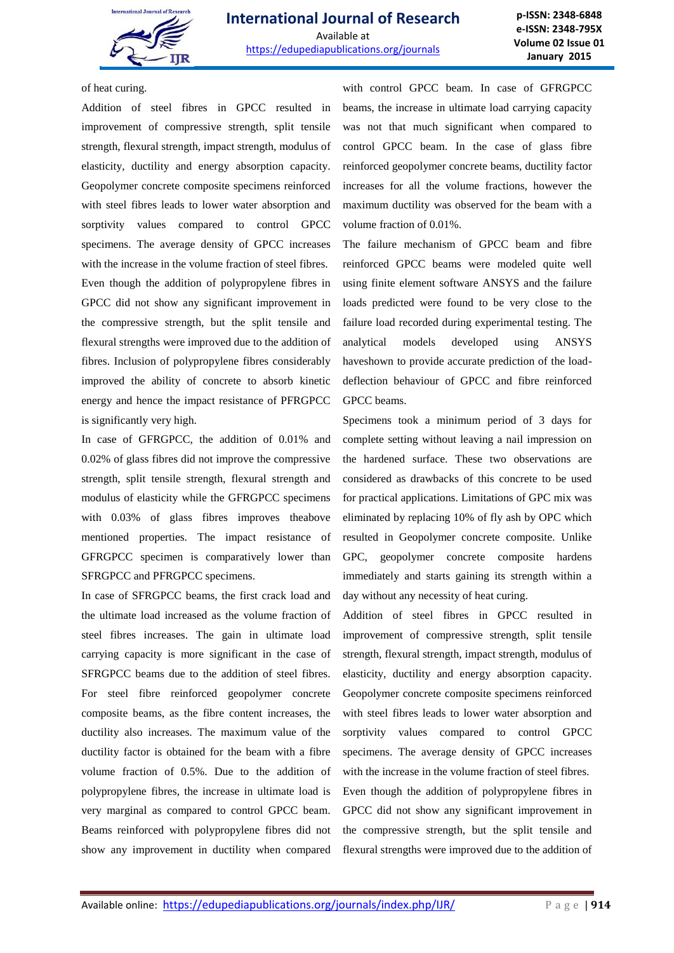

of heat curing.

Addition of steel fibres in GPCC resulted in improvement of compressive strength, split tensile strength, flexural strength, impact strength, modulus of elasticity, ductility and energy absorption capacity. Geopolymer concrete composite specimens reinforced with steel fibres leads to lower water absorption and sorptivity values compared to control GPCC specimens. The average density of GPCC increases with the increase in the volume fraction of steel fibres. Even though the addition of polypropylene fibres in GPCC did not show any significant improvement in the compressive strength, but the split tensile and flexural strengths were improved due to the addition of fibres. Inclusion of polypropylene fibres considerably improved the ability of concrete to absorb kinetic energy and hence the impact resistance of PFRGPCC is significantly very high.

In case of GFRGPCC, the addition of 0.01% and 0.02% of glass fibres did not improve the compressive strength, split tensile strength, flexural strength and modulus of elasticity while the GFRGPCC specimens with 0.03% of glass fibres improves theabove mentioned properties. The impact resistance of GFRGPCC specimen is comparatively lower than SFRGPCC and PFRGPCC specimens.

In case of SFRGPCC beams, the first crack load and the ultimate load increased as the volume fraction of steel fibres increases. The gain in ultimate load carrying capacity is more significant in the case of SFRGPCC beams due to the addition of steel fibres. For steel fibre reinforced geopolymer concrete composite beams, as the fibre content increases, the ductility also increases. The maximum value of the ductility factor is obtained for the beam with a fibre volume fraction of 0.5%. Due to the addition of polypropylene fibres, the increase in ultimate load is very marginal as compared to control GPCC beam. Beams reinforced with polypropylene fibres did not show any improvement in ductility when compared

with control GPCC beam. In case of GFRGPCC beams, the increase in ultimate load carrying capacity was not that much significant when compared to control GPCC beam. In the case of glass fibre reinforced geopolymer concrete beams, ductility factor increases for all the volume fractions, however the maximum ductility was observed for the beam with a volume fraction of 0.01%.

The failure mechanism of GPCC beam and fibre reinforced GPCC beams were modeled quite well using finite element software ANSYS and the failure loads predicted were found to be very close to the failure load recorded during experimental testing. The analytical models developed using ANSYS haveshown to provide accurate prediction of the loaddeflection behaviour of GPCC and fibre reinforced GPCC beams.

Specimens took a minimum period of 3 days for complete setting without leaving a nail impression on the hardened surface. These two observations are considered as drawbacks of this concrete to be used for practical applications. Limitations of GPC mix was eliminated by replacing 10% of fly ash by OPC which resulted in Geopolymer concrete composite. Unlike GPC, geopolymer concrete composite hardens immediately and starts gaining its strength within a day without any necessity of heat curing.

Addition of steel fibres in GPCC resulted in improvement of compressive strength, split tensile strength, flexural strength, impact strength, modulus of elasticity, ductility and energy absorption capacity. Geopolymer concrete composite specimens reinforced with steel fibres leads to lower water absorption and sorptivity values compared to control GPCC specimens. The average density of GPCC increases with the increase in the volume fraction of steel fibres. Even though the addition of polypropylene fibres in GPCC did not show any significant improvement in the compressive strength, but the split tensile and flexural strengths were improved due to the addition of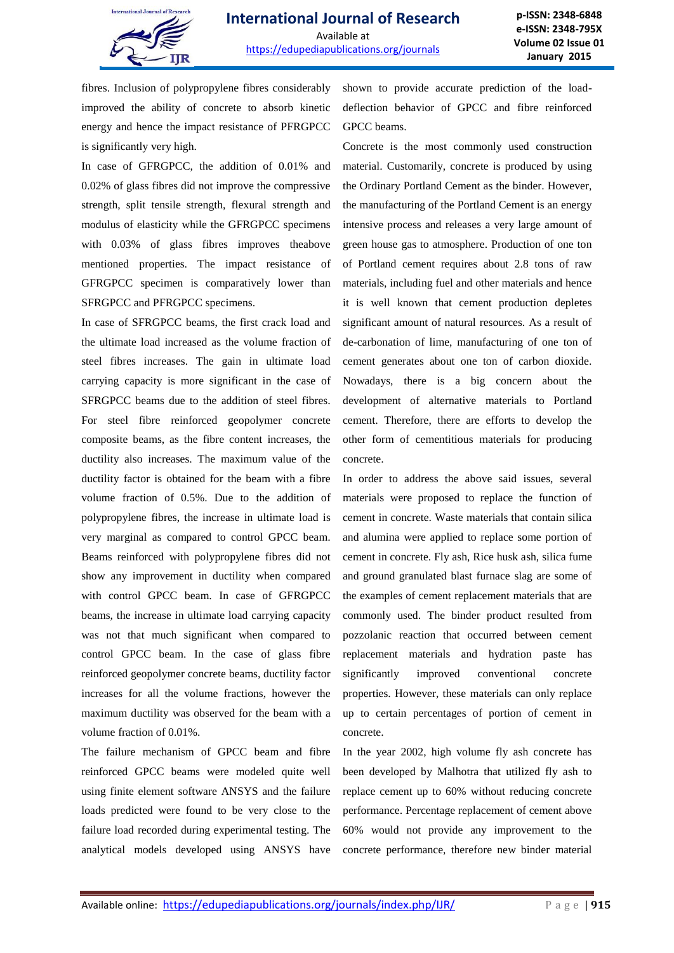

fibres. Inclusion of polypropylene fibres considerably improved the ability of concrete to absorb kinetic energy and hence the impact resistance of PFRGPCC is significantly very high.

In case of GFRGPCC, the addition of 0.01% and 0.02% of glass fibres did not improve the compressive strength, split tensile strength, flexural strength and modulus of elasticity while the GFRGPCC specimens with  $0.03\%$  of glass fibres improves theabove mentioned properties. The impact resistance of GFRGPCC specimen is comparatively lower than SFRGPCC and PFRGPCC specimens.

In case of SFRGPCC beams, the first crack load and the ultimate load increased as the volume fraction of steel fibres increases. The gain in ultimate load carrying capacity is more significant in the case of SFRGPCC beams due to the addition of steel fibres. For steel fibre reinforced geopolymer concrete composite beams, as the fibre content increases, the ductility also increases. The maximum value of the ductility factor is obtained for the beam with a fibre volume fraction of 0.5%. Due to the addition of polypropylene fibres, the increase in ultimate load is very marginal as compared to control GPCC beam. Beams reinforced with polypropylene fibres did not show any improvement in ductility when compared with control GPCC beam. In case of GFRGPCC beams, the increase in ultimate load carrying capacity was not that much significant when compared to control GPCC beam. In the case of glass fibre reinforced geopolymer concrete beams, ductility factor increases for all the volume fractions, however the maximum ductility was observed for the beam with a volume fraction of 0.01%.

The failure mechanism of GPCC beam and fibre reinforced GPCC beams were modeled quite well using finite element software ANSYS and the failure loads predicted were found to be very close to the failure load recorded during experimental testing. The analytical models developed using ANSYS have shown to provide accurate prediction of the loaddeflection behavior of GPCC and fibre reinforced GPCC beams.

Concrete is the most commonly used construction material. Customarily, concrete is produced by using the Ordinary Portland Cement as the binder. However, the manufacturing of the Portland Cement is an energy intensive process and releases a very large amount of green house gas to atmosphere. Production of one ton of Portland cement requires about 2.8 tons of raw materials, including fuel and other materials and hence it is well known that cement production depletes significant amount of natural resources. As a result of de-carbonation of lime, manufacturing of one ton of cement generates about one ton of carbon dioxide. Nowadays, there is a big concern about the development of alternative materials to Portland cement. Therefore, there are efforts to develop the other form of cementitious materials for producing concrete.

In order to address the above said issues, several materials were proposed to replace the function of cement in concrete. Waste materials that contain silica and alumina were applied to replace some portion of cement in concrete. Fly ash, Rice husk ash, silica fume and ground granulated blast furnace slag are some of the examples of cement replacement materials that are commonly used. The binder product resulted from pozzolanic reaction that occurred between cement replacement materials and hydration paste has significantly improved conventional concrete properties. However, these materials can only replace up to certain percentages of portion of cement in concrete.

In the year 2002, high volume fly ash concrete has been developed by Malhotra that utilized fly ash to replace cement up to 60% without reducing concrete performance. Percentage replacement of cement above 60% would not provide any improvement to the concrete performance, therefore new binder material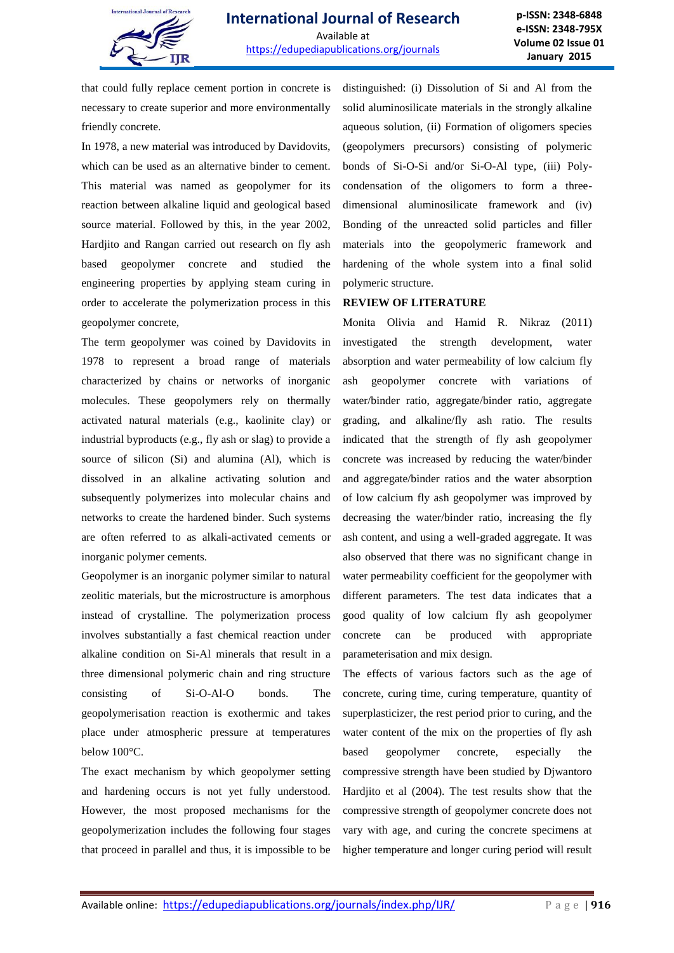

that could fully replace cement portion in concrete is necessary to create superior and more environmentally friendly concrete.

In 1978, a new material was introduced by Davidovits, which can be used as an alternative binder to cement. This material was named as geopolymer for its reaction between alkaline liquid and geological based source material. Followed by this, in the year 2002, Hardjito and Rangan carried out research on fly ash based geopolymer concrete and studied the engineering properties by applying steam curing in order to accelerate the polymerization process in this geopolymer concrete,

The term geopolymer was coined by Davidovits in 1978 to represent a broad range of materials characterized by chains or networks of inorganic molecules. These geopolymers rely on thermally activated natural materials (e.g., kaolinite clay) or industrial byproducts (e.g., fly ash or slag) to provide a source of silicon (Si) and alumina (Al), which is dissolved in an alkaline activating solution and subsequently polymerizes into molecular chains and networks to create the hardened binder. Such systems are often referred to as alkali-activated cements or inorganic polymer cements.

Geopolymer is an inorganic polymer similar to natural zeolitic materials, but the microstructure is amorphous instead of crystalline. The polymerization process involves substantially a fast chemical reaction under alkaline condition on Si-Al minerals that result in a three dimensional polymeric chain and ring structure consisting of Si-O-Al-O bonds. The geopolymerisation reaction is exothermic and takes place under atmospheric pressure at temperatures below 100°C.

The exact mechanism by which geopolymer setting and hardening occurs is not yet fully understood. However, the most proposed mechanisms for the geopolymerization includes the following four stages that proceed in parallel and thus, it is impossible to be distinguished: (i) Dissolution of Si and Al from the solid aluminosilicate materials in the strongly alkaline aqueous solution, (ii) Formation of oligomers species (geopolymers precursors) consisting of polymeric bonds of Si-O-Si and/or Si-O-Al type, (iii) Polycondensation of the oligomers to form a threedimensional aluminosilicate framework and (iv) Bonding of the unreacted solid particles and filler materials into the geopolymeric framework and hardening of the whole system into a final solid polymeric structure.

### **REVIEW OF LITERATURE**

Monita Olivia and Hamid R. Nikraz (2011) investigated the strength development, water absorption and water permeability of low calcium fly ash geopolymer concrete with variations of water/binder ratio, aggregate/binder ratio, aggregate grading, and alkaline/fly ash ratio. The results indicated that the strength of fly ash geopolymer concrete was increased by reducing the water/binder and aggregate/binder ratios and the water absorption of low calcium fly ash geopolymer was improved by decreasing the water/binder ratio, increasing the fly ash content, and using a well-graded aggregate. It was also observed that there was no significant change in water permeability coefficient for the geopolymer with different parameters. The test data indicates that a good quality of low calcium fly ash geopolymer concrete can be produced with appropriate parameterisation and mix design.

The effects of various factors such as the age of concrete, curing time, curing temperature, quantity of superplasticizer, the rest period prior to curing, and the water content of the mix on the properties of fly ash based geopolymer concrete, especially the compressive strength have been studied by Djwantoro Hardjito et al (2004). The test results show that the compressive strength of geopolymer concrete does not vary with age, and curing the concrete specimens at higher temperature and longer curing period will result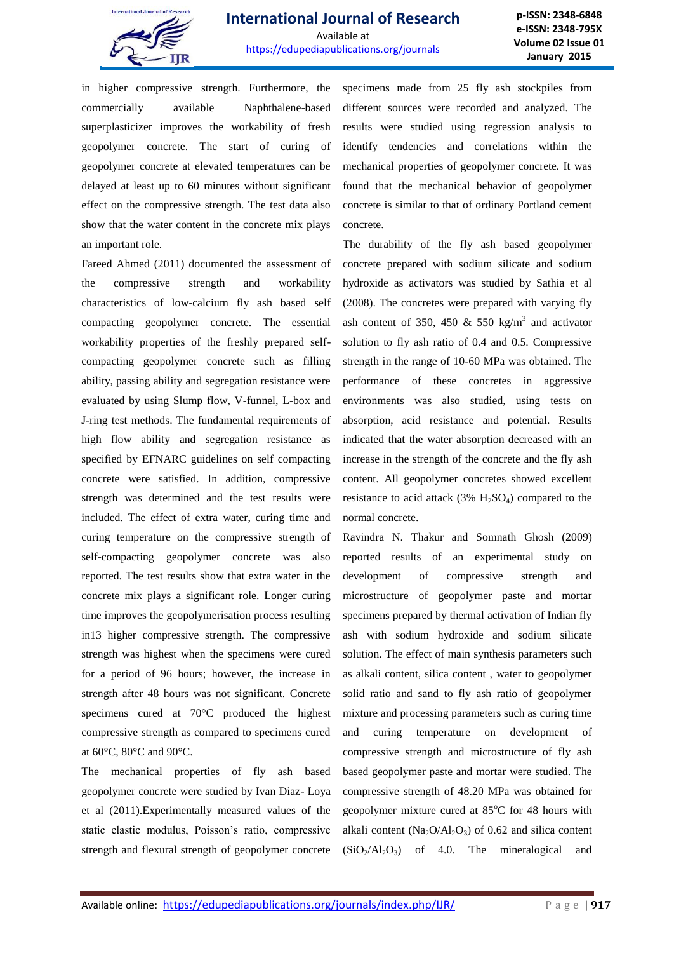

in higher compressive strength. Furthermore, the commercially available Naphthalene-based superplasticizer improves the workability of fresh geopolymer concrete. The start of curing of geopolymer concrete at elevated temperatures can be delayed at least up to 60 minutes without significant effect on the compressive strength. The test data also show that the water content in the concrete mix plays an important role.

Fareed Ahmed (2011) documented the assessment of the compressive strength and workability characteristics of low-calcium fly ash based self compacting geopolymer concrete. The essential workability properties of the freshly prepared selfcompacting geopolymer concrete such as filling ability, passing ability and segregation resistance were evaluated by using Slump flow, V-funnel, L-box and J-ring test methods. The fundamental requirements of high flow ability and segregation resistance as specified by EFNARC guidelines on self compacting concrete were satisfied. In addition, compressive strength was determined and the test results were included. The effect of extra water, curing time and curing temperature on the compressive strength of self-compacting geopolymer concrete was also reported. The test results show that extra water in the concrete mix plays a significant role. Longer curing time improves the geopolymerisation process resulting in13 higher compressive strength. The compressive strength was highest when the specimens were cured for a period of 96 hours; however, the increase in strength after 48 hours was not significant. Concrete specimens cured at 70°C produced the highest compressive strength as compared to specimens cured at 60°C, 80°C and 90°C.

The mechanical properties of fly ash based geopolymer concrete were studied by Ivan Diaz- Loya et al (2011).Experimentally measured values of the static elastic modulus, Poisson's ratio, compressive strength and flexural strength of geopolymer concrete specimens made from 25 fly ash stockpiles from different sources were recorded and analyzed. The results were studied using regression analysis to identify tendencies and correlations within the mechanical properties of geopolymer concrete. It was found that the mechanical behavior of geopolymer concrete is similar to that of ordinary Portland cement concrete.

The durability of the fly ash based geopolymer concrete prepared with sodium silicate and sodium hydroxide as activators was studied by Sathia et al (2008). The concretes were prepared with varying fly ash content of 350, 450 & 550 kg/m<sup>3</sup> and activator solution to fly ash ratio of 0.4 and 0.5. Compressive strength in the range of 10-60 MPa was obtained. The performance of these concretes in aggressive environments was also studied, using tests on absorption, acid resistance and potential. Results indicated that the water absorption decreased with an increase in the strength of the concrete and the fly ash content. All geopolymer concretes showed excellent resistance to acid attack  $(3\% \text{ H}_2\text{SO}_4)$  compared to the normal concrete.

Ravindra N. Thakur and Somnath Ghosh (2009) reported results of an experimental study on development of compressive strength and microstructure of geopolymer paste and mortar specimens prepared by thermal activation of Indian fly ash with sodium hydroxide and sodium silicate solution. The effect of main synthesis parameters such as alkali content, silica content , water to geopolymer solid ratio and sand to fly ash ratio of geopolymer mixture and processing parameters such as curing time and curing temperature on development of compressive strength and microstructure of fly ash based geopolymer paste and mortar were studied. The compressive strength of 48.20 MPa was obtained for geopolymer mixture cured at  $85^{\circ}$ C for 48 hours with alkali content ( $Na<sub>2</sub>O/Al<sub>2</sub>O<sub>3</sub>$ ) of 0.62 and silica content  $(SiO<sub>2</sub>/Al<sub>2</sub>O<sub>3</sub>)$  of 4.0. The mineralogical and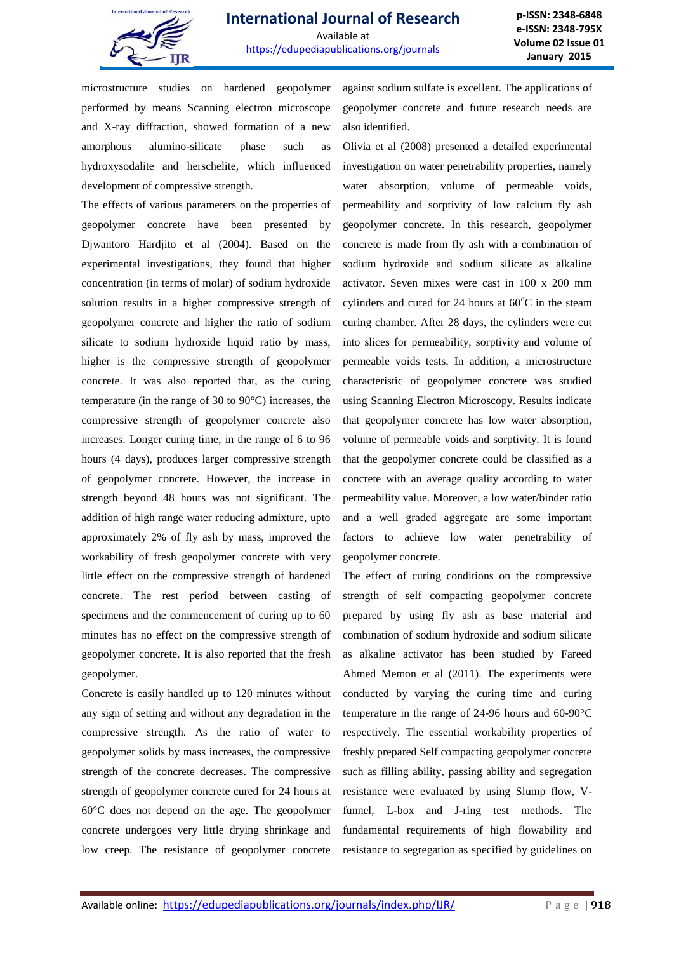

microstructure studies on hardened geopolymer performed by means Scanning electron microscope and X-ray diffraction, showed formation of a new amorphous alumino-silicate phase such as hydroxysodalite and herschelite, which influenced development of compressive strength.

The effects of various parameters on the properties of geopolymer concrete have been presented by Djwantoro Hardjito et al (2004). Based on the experimental investigations, they found that higher concentration (in terms of molar) of sodium hydroxide solution results in a higher compressive strength of geopolymer concrete and higher the ratio of sodium silicate to sodium hydroxide liquid ratio by mass, higher is the compressive strength of geopolymer concrete. It was also reported that, as the curing temperature (in the range of 30 to 90°C) increases, the compressive strength of geopolymer concrete also increases. Longer curing time, in the range of 6 to 96 hours (4 days), produces larger compressive strength of geopolymer concrete. However, the increase in strength beyond 48 hours was not significant. The addition of high range water reducing admixture, upto approximately 2% of fly ash by mass, improved the workability of fresh geopolymer concrete with very little effect on the compressive strength of hardened concrete. The rest period between casting of specimens and the commencement of curing up to 60 minutes has no effect on the compressive strength of geopolymer concrete. It is also reported that the fresh geopolymer.

Concrete is easily handled up to 120 minutes without any sign of setting and without any degradation in the compressive strength. As the ratio of water to geopolymer solids by mass increases, the compressive strength of the concrete decreases. The compressive strength of geopolymer concrete cured for 24 hours at 60°C does not depend on the age. The geopolymer concrete undergoes very little drying shrinkage and low creep. The resistance of geopolymer concrete against sodium sulfate is excellent. The applications of geopolymer concrete and future research needs are also identified.

Olivia et al (2008) presented a detailed experimental investigation on water penetrability properties, namely water absorption, volume of permeable voids, permeability and sorptivity of low calcium fly ash geopolymer concrete. In this research, geopolymer concrete is made from fly ash with a combination of sodium hydroxide and sodium silicate as alkaline activator. Seven mixes were cast in 100 x 200 mm cylinders and cured for 24 hours at  $60^{\circ}$ C in the steam curing chamber. After 28 days, the cylinders were cut into slices for permeability, sorptivity and volume of permeable voids tests. In addition, a microstructure characteristic of geopolymer concrete was studied using Scanning Electron Microscopy. Results indicate that geopolymer concrete has low water absorption, volume of permeable voids and sorptivity. It is found that the geopolymer concrete could be classified as a concrete with an average quality according to water permeability value. Moreover, a low water/binder ratio and a well graded aggregate are some important factors to achieve low water penetrability of geopolymer concrete.

The effect of curing conditions on the compressive strength of self compacting geopolymer concrete prepared by using fly ash as base material and combination of sodium hydroxide and sodium silicate as alkaline activator has been studied by Fareed Ahmed Memon et al (2011). The experiments were conducted by varying the curing time and curing temperature in the range of 24-96 hours and 60-90°C respectively. The essential workability properties of freshly prepared Self compacting geopolymer concrete such as filling ability, passing ability and segregation resistance were evaluated by using Slump flow, Vfunnel, L-box and J-ring test methods. The fundamental requirements of high flowability and resistance to segregation as specified by guidelines on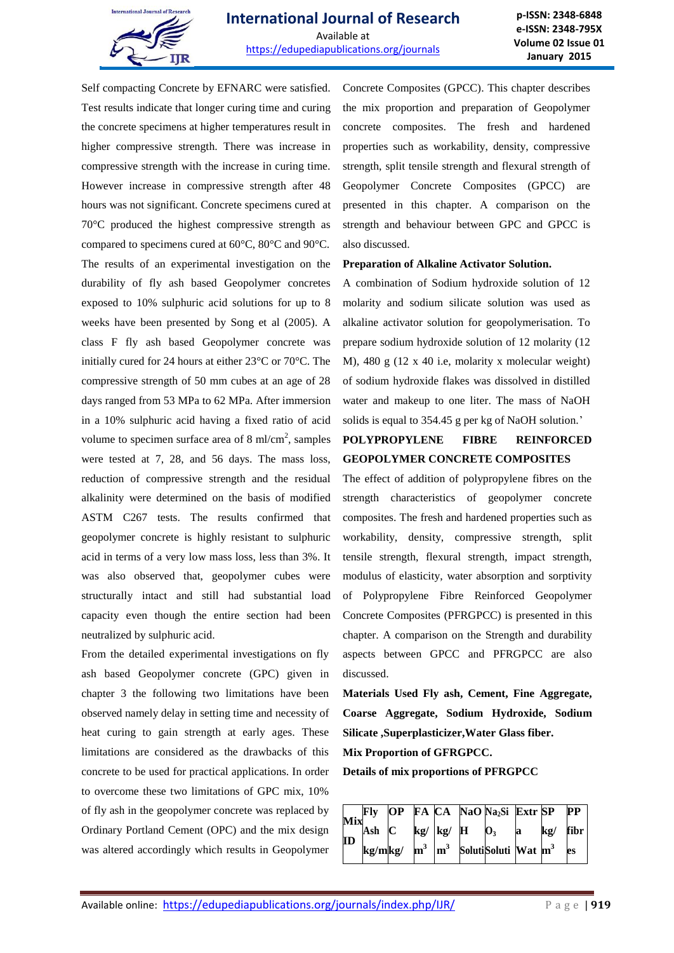

Self compacting Concrete by EFNARC were satisfied. Test results indicate that longer curing time and curing the concrete specimens at higher temperatures result in higher compressive strength. There was increase in compressive strength with the increase in curing time. However increase in compressive strength after 48 hours was not significant. Concrete specimens cured at 70°C produced the highest compressive strength as compared to specimens cured at 60°C, 80°C and 90°C. The results of an experimental investigation on the durability of fly ash based Geopolymer concretes exposed to 10% sulphuric acid solutions for up to 8 weeks have been presented by Song et al (2005). A class F fly ash based Geopolymer concrete was initially cured for 24 hours at either 23°C or 70°C. The compressive strength of 50 mm cubes at an age of 28 days ranged from 53 MPa to 62 MPa. After immersion in a 10% sulphuric acid having a fixed ratio of acid volume to specimen surface area of  $8 \text{ ml/cm}^2$ , samples were tested at 7, 28, and 56 days. The mass loss, reduction of compressive strength and the residual alkalinity were determined on the basis of modified ASTM C267 tests. The results confirmed that geopolymer concrete is highly resistant to sulphuric acid in terms of a very low mass loss, less than 3%. It was also observed that, geopolymer cubes were structurally intact and still had substantial load capacity even though the entire section had been neutralized by sulphuric acid.

From the detailed experimental investigations on fly ash based Geopolymer concrete (GPC) given in chapter 3 the following two limitations have been observed namely delay in setting time and necessity of heat curing to gain strength at early ages. These limitations are considered as the drawbacks of this concrete to be used for practical applications. In order to overcome these two limitations of GPC mix, 10% of fly ash in the geopolymer concrete was replaced by Ordinary Portland Cement (OPC) and the mix design was altered accordingly which results in Geopolymer

Concrete Composites (GPCC). This chapter describes the mix proportion and preparation of Geopolymer concrete composites. The fresh and hardened properties such as workability, density, compressive strength, split tensile strength and flexural strength of Geopolymer Concrete Composites (GPCC) are presented in this chapter. A comparison on the strength and behaviour between GPC and GPCC is also discussed.

#### **Preparation of Alkaline Activator Solution.**

A combination of Sodium hydroxide solution of 12 molarity and sodium silicate solution was used as alkaline activator solution for geopolymerisation. To prepare sodium hydroxide solution of 12 molarity (12 M), 480 g (12 x 40 i.e, molarity x molecular weight) of sodium hydroxide flakes was dissolved in distilled water and makeup to one liter. The mass of NaOH solids is equal to 354.45 g per kg of NaOH solution.'

## **POLYPROPYLENE FIBRE REINFORCED GEOPOLYMER CONCRETE COMPOSITES**

The effect of addition of polypropylene fibres on the strength characteristics of geopolymer concrete composites. The fresh and hardened properties such as workability, density, compressive strength, split tensile strength, flexural strength, impact strength, modulus of elasticity, water absorption and sorptivity of Polypropylene Fibre Reinforced Geopolymer Concrete Composites (PFRGPCC) is presented in this chapter. A comparison on the Strength and durability aspects between GPCC and PFRGPCC are also discussed.

**Materials Used Fly ash, Cement, Fine Aggregate, Coarse Aggregate, Sodium Hydroxide, Sodium Silicate ,Superplasticizer,Water Glass fiber. Mix Proportion of GFRGPCC.**

**Details of mix proportions of PFRGPCC**

| <b>Mix</b> |            |  |                              | $OP$ FA $CA$ NaO Na <sub>2</sub> Si Extr SP                            |          |     | $\bf PP$ |
|------------|------------|--|------------------------------|------------------------------------------------------------------------|----------|-----|----------|
|            | $Ash \, C$ |  | $\log$   $\log$   H   $\log$ |                                                                        | $\bf{a}$ | kg/ | fibr     |
| ID         |            |  |                              | kg/mkg/ $\mathbf{m}^3$ $\mathbf{m}^3$ Soluti Soluti Wat $\mathbf{m}^3$ |          |     | es       |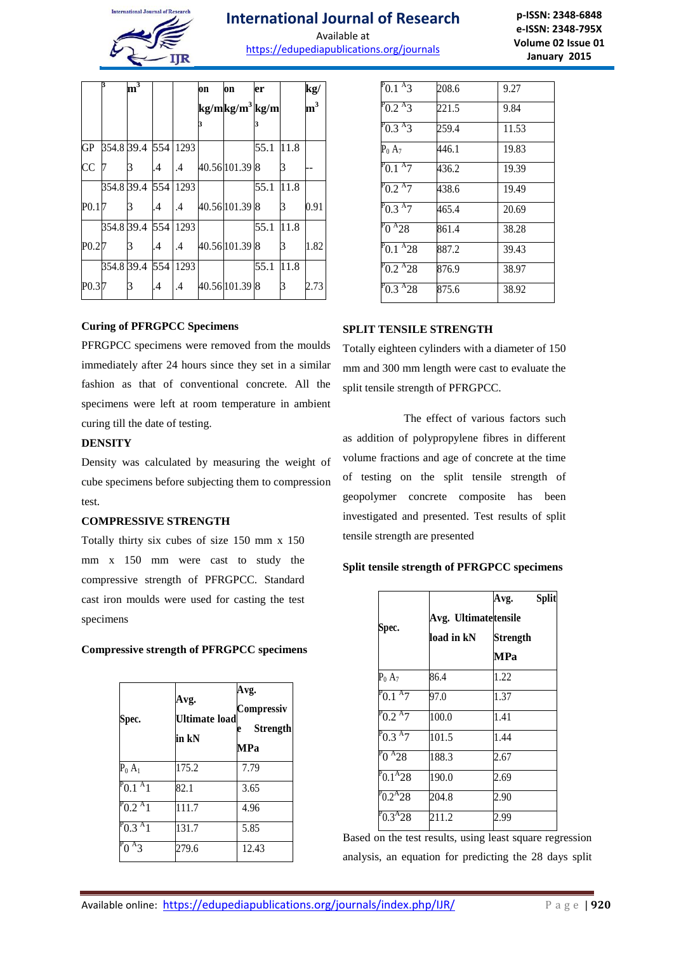

# **International Journal of Research**

Available at https://edupediapublications.org/journals

**p-ISSN: 2348-6848 e-ISSN: 2348-795X Volume 02 Issue 01 January 2015**

|                     | ß                   | m <sup>3</sup> |               |         | on | on                         | er   |      | kg/            |
|---------------------|---------------------|----------------|---------------|---------|----|----------------------------|------|------|----------------|
|                     |                     |                |               |         |    | kg/mkg/m <sup>3</sup> kg/m |      |      | m <sup>3</sup> |
|                     |                     |                |               |         | 3  |                            |      |      |                |
| <b>GP</b>           | 354.8 39.4 554 1293 |                |               |         |    |                            | 55.1 | 11.8 |                |
| CC                  |                     | 3              | .4            | .4      |    | 40.56 101.39 8             |      | 3    |                |
|                     |                     | 354.8 39.4 554 |               | 1293    |    |                            | 55.1 | 11.8 |                |
| P <sub>0.1</sub>  7 |                     | 3              | $\mathcal{A}$ | .4      |    | 40.56 101.39 8             |      | 3    | 0.91           |
|                     |                     | 354.8 39.4 554 |               | 1293    |    |                            | 55.1 | 11.8 |                |
| P <sub>0.2</sub>  7 |                     | 3              | .4            | $\cdot$ |    | 40.56 101.39 8             |      | 3    | 1.82           |
|                     |                     | 354.8 39.4 554 |               | 1293    |    |                            | 55.1 | 11.8 |                |
| P <sub>0.3</sub>  7 |                     | 3              | .4            | .4      |    | 40.56 101.39 8             |      | 3    | 2.73           |

### **Curing of PFRGPCC Specimens**

PFRGPCC specimens were removed from the moulds immediately after 24 hours since they set in a similar fashion as that of conventional concrete. All the specimens were left at room temperature in ambient curing till the date of testing.

## **DENSITY**

Density was calculated by measuring the weight of cube specimens before subjecting them to compression test.

### **COMPRESSIVE STRENGTH**

Totally thirty six cubes of size 150 mm x 150 mm x 150 mm were cast to study the compressive strength of PFRGPCC. Standard cast iron moulds were used for casting the test specimens

## **Compressive strength of PFRGPCC specimens**

| Spec.                        | Avg.<br><b>Ultimate load</b><br>in kN | Avg.<br>Compressiv<br><b>Strength</b><br>e<br>MPa |
|------------------------------|---------------------------------------|---------------------------------------------------|
| $P_0 A_1$                    | 175.2                                 | 7.79                                              |
| $P_{0.1}$ <sup>A</sup> 1     | 82.1                                  | 3.65                                              |
| $P_{0.2}$ $^{\rm A}$ 1       | 111.7                                 | 4.96                                              |
| $P^{\rm p}$ 0.3 $^{\rm A}$ 1 | 131.7                                 | 5.85                                              |
| $P_0A_3$                     | 279.6                                 | 12.43                                             |

| $P_{0.1}$ A <sub>3</sub>  | 208.6 | 9.27  |
|---------------------------|-------|-------|
| $P_{0.2}$ A <sub>3</sub>  | 221.5 | 9.84  |
| $P_{0.3}$ A <sub>3</sub>  | 259.4 | 11.53 |
| $P_0 A_7$                 | 446.1 | 19.83 |
| $P_{0.1}$ A <sub>7</sub>  | 436.2 | 19.39 |
| $P_{0.2}$ A7              | 438.6 | 19.49 |
| $P_{0.3}$ A $7$           | 465.4 | 20.69 |
| $P_0 A_28$                | 861.4 | 38.28 |
| $P_{0.1}$ <sup>A</sup> 28 | 887.2 | 39.43 |
| $P$ 0.2 $^{A}$ 28         | 876.9 | 38.97 |
| $^{P}0.3^{A}28$           | 875.6 | 38.92 |

## **SPLIT TENSILE STRENGTH**

Totally eighteen cylinders with a diameter of 150 mm and 300 mm length were cast to evaluate the split tensile strength of PFRGPCC.

The effect of various factors such as addition of polypropylene fibres in different volume fractions and age of concrete at the time of testing on the split tensile strength of geopolymer concrete composite has been investigated and presented. Test results of split tensile strength are presented

### **Split tensile strength of PFRGPCC specimens**

|                 |                      | Avg.            | <b>Split</b> |  |  |  |  |
|-----------------|----------------------|-----------------|--------------|--|--|--|--|
|                 | Avg. Ultimatetensile |                 |              |  |  |  |  |
| Spec.           | load in kN           | <b>Strength</b> |              |  |  |  |  |
|                 |                      | MPa             |              |  |  |  |  |
| $P_0 A_7$       | 86.4                 | 1.22            |              |  |  |  |  |
| $P_{0.1}$ A $7$ | 97.0                 | 1.37            |              |  |  |  |  |
| $P_{0.2}$ A $7$ | 100.0                | 1.41            |              |  |  |  |  |
| $P_{0.3}$ A $7$ | 101.5                | 1.44            |              |  |  |  |  |
| $P_0 A_{28}$    | 188.3                | 2.67            |              |  |  |  |  |
| $P_{0.1}A_{28}$ | 190.0                | 2.69            |              |  |  |  |  |
| $^{P}0.2^{A}28$ | 204.8                | 2.90            |              |  |  |  |  |
| $P_{0.3}A_{28}$ | 211.2                | 2.99            |              |  |  |  |  |

Based on the test results, using least square regression analysis, an equation for predicting the 28 days split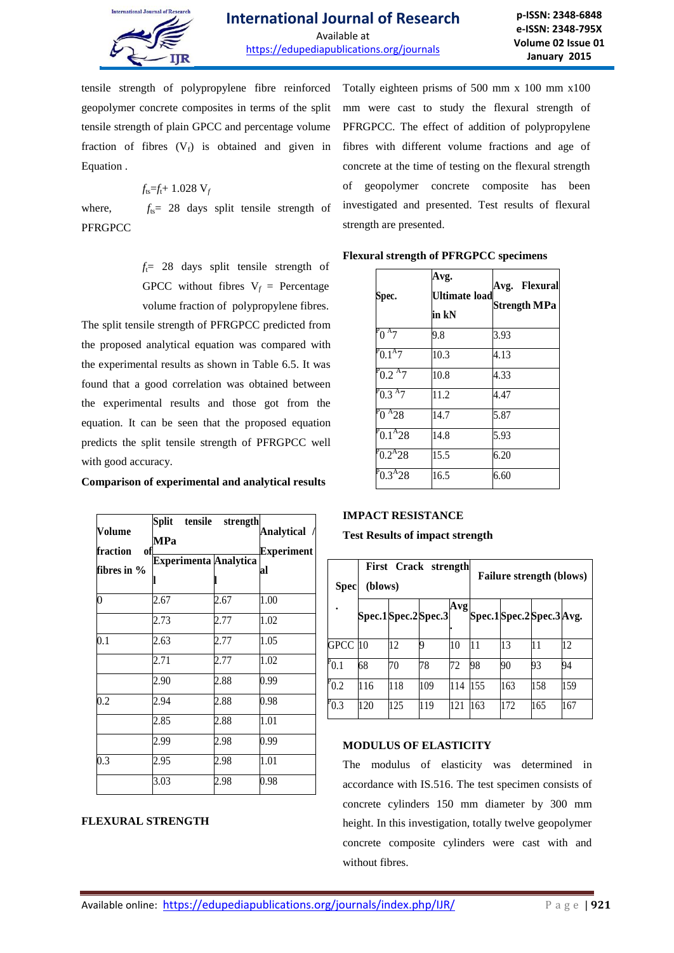

tensile strength of polypropylene fibre reinforced geopolymer concrete composites in terms of the split tensile strength of plain GPCC and percentage volume fraction of fibres  $(V_f)$  is obtained and given in Equation .

$$
f_{\text{ts}} = f_{\text{t}} + 1.028 \text{ V}_f
$$

where,  $f_{ts}= 28$  days split tensile strength of **PFRGPCC** 

> $f_1$ = 28 days split tensile strength of GPCC without fibres  $V_f$  = Percentage volume fraction of polypropylene fibres.

The split tensile strength of PFRGPCC predicted from the proposed analytical equation was compared with the experimental results as shown in Table 6.5. It was found that a good correlation was obtained between the experimental results and those got from the equation. It can be seen that the proposed equation predicts the split tensile strength of PFRGPCC well with good accuracy.

**Comparison of experimental and analytical results**

| Volume<br>fraction<br>of | Split<br>tensile strength<br>MPa | Analytical /<br><b>Experiment</b> |      |
|--------------------------|----------------------------------|-----------------------------------|------|
| fibres in $%$            | <b>Experimenta Analytica</b>     |                                   | al   |
| $\overline{0}$           | 2.67                             | 2.67                              | 1.00 |
|                          | 2.73                             | 2.77                              | 1.02 |
| 0.1                      | 2.63                             | 2.77                              | 1.05 |
|                          | 2.71                             | 2.77                              | 1.02 |
|                          | 2.90                             | 2.88                              | 0.99 |
| 0.2                      | 2.94                             | 2.88                              | 0.98 |
|                          | 2.85                             | 2.88                              | 1.01 |
|                          | 2.99                             | 2.98                              | 0.99 |
| 0.3                      | 2.95                             | 2.98                              | 1.01 |
|                          | 3.03                             | 2.98                              | 0.98 |

## **FLEXURAL STRENGTH**

Totally eighteen prisms of 500 mm x 100 mm x100 mm were cast to study the flexural strength of PFRGPCC. The effect of addition of polypropylene fibres with different volume fractions and age of concrete at the time of testing on the flexural strength of geopolymer concrete composite has been investigated and presented. Test results of flexural strength are presented.

| Spec.                        | Avg.<br><b>Ultimate load</b><br>in kN | Avg. Flexural<br><b>Strength MPa</b> |
|------------------------------|---------------------------------------|--------------------------------------|
| $P_0$ A $7$                  | 9.8                                   | 3.93                                 |
| $P_{0.1}$ <sup>A</sup> 7     | 10.3                                  | 4.13                                 |
| $P^{\rm p}0.2$ $^{\rm A}7$   | 10.8                                  | 4.33                                 |
| $P^{\rm p}$ 0.3 $^{\rm A}$ 7 | 11.2                                  | 4.47                                 |
| $P_0 A_28$                   | 14.7                                  | 5.87                                 |
| $P_{0.1}A_{28}$              | 14.8                                  | 5.93                                 |
| $P_{0.2}A_{28}$              | 15.5                                  | 6.20                                 |
| $P_{0.3}A_{28}$              | 16.5                                  | 6.60                                 |

#### **Flexural strength of PFRGPCC specimens**

## **IMPACT RESISTANCE**

**Test Results of impact strength**

| <b>Spec</b>    | (blows)            |     | First Crack strength |      |     |     | <b>Failure strength (blows)</b> |     |  |  |
|----------------|--------------------|-----|----------------------|------|-----|-----|---------------------------------|-----|--|--|
|                | Spec.1Spec.2Spec.3 |     |                      | Avg! |     |     | Spec.1Spec.2Spec.3Avg.          |     |  |  |
| <b>GPCC</b>    | 10                 | 12  | q                    | 10   | 11  | 13  |                                 | 12  |  |  |
| $^{\rm P}$ 0.1 | 68                 | 70  | 78                   | 72   | 98  | 90  | 93                              | 94  |  |  |
| $P_{0.2}$      | 116                | 118 | 109                  | 114  | 155 | 163 | 158                             | 159 |  |  |
| $P_{0.3}$      | 120                | 125 | 119                  | 121  | 163 | 172 | 165                             | 167 |  |  |

## **MODULUS OF ELASTICITY**

The modulus of elasticity was determined in accordance with IS.516. The test specimen consists of concrete cylinders 150 mm diameter by 300 mm height. In this investigation, totally twelve geopolymer concrete composite cylinders were cast with and without fibres.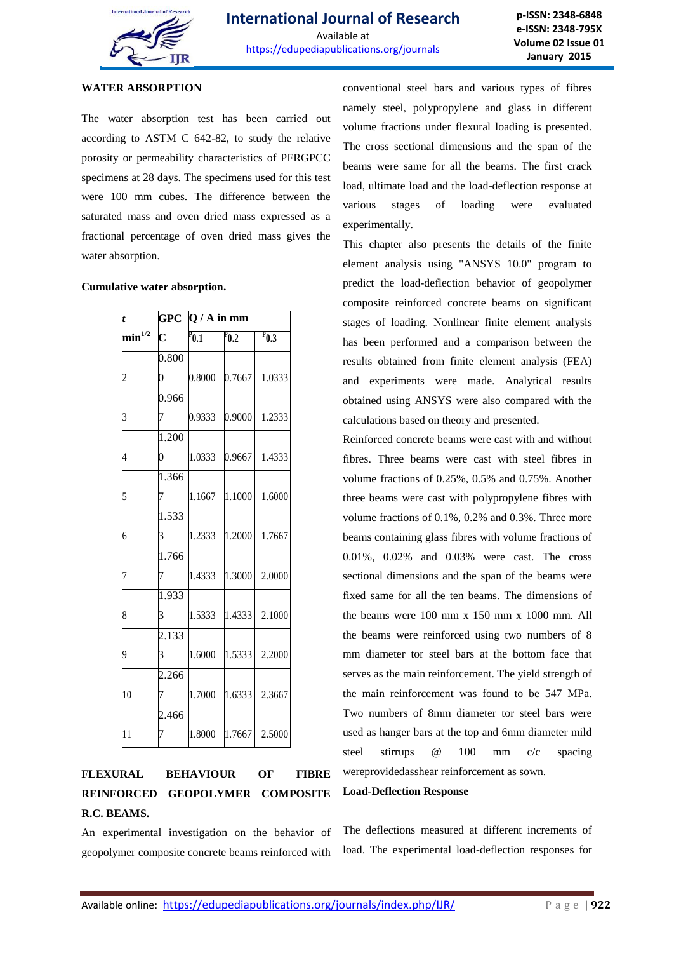

### **WATER ABSORPTION**

The water absorption test has been carried out according to ASTM C 642-82, to study the relative porosity or permeability characteristics of PFRGPCC specimens at 28 days. The specimens used for this test were 100 mm cubes. The difference between the saturated mass and oven dried mass expressed as a fractional percentage of oven dried mass gives the water absorption.

#### **Cumulative water absorption.**

|                |                    | GPC $Q/A$ in mm      |                    |           |  |  |  |  |
|----------------|--------------------|----------------------|--------------------|-----------|--|--|--|--|
| $\min^{1/2}$   | $\mathbf{C}$       | $\overline{P_{0.1}}$ | $\overline{P}$ 0.2 | $P_{0.3}$ |  |  |  |  |
|                | 0.800              |                      |                    |           |  |  |  |  |
| $\overline{c}$ | 0                  | 0.8000               | 0.7667             | 1.0333    |  |  |  |  |
|                | 0.966              |                      |                    |           |  |  |  |  |
| $\mathfrak z$  | 7                  | 0.9333               | 0.9000             | 1.2333    |  |  |  |  |
|                | 1.200              |                      |                    |           |  |  |  |  |
|                | $\overline{0}$     | 1.0333               | 0.9667             | 1.4333    |  |  |  |  |
|                | 1.366              |                      |                    |           |  |  |  |  |
| 5              | 7                  | 1.1667               | 1.1000             | 1.6000    |  |  |  |  |
|                | $\overline{1.533}$ |                      |                    |           |  |  |  |  |
| 6              | 3                  | 1.2333               | 1.2000             | 1.7667    |  |  |  |  |
|                | 1.766              |                      |                    |           |  |  |  |  |
| 7              |                    | 1.4333               | 1.3000             | 2.0000    |  |  |  |  |
|                | 1.933              |                      |                    |           |  |  |  |  |
| 8              | 3                  | 1.5333               | 1.4333             | 2.1000    |  |  |  |  |
|                | 2.133              |                      |                    |           |  |  |  |  |
| 9              | 3                  | 1.6000               | 1.5333             | 2.2000    |  |  |  |  |
|                | 2.266              |                      |                    |           |  |  |  |  |
| 10             |                    | 1.7000               | 1.6333             | 2.3667    |  |  |  |  |
|                | 2.466              |                      |                    |           |  |  |  |  |
| 11             | 7                  | 1.8000               | 1.7667             | 2.5000    |  |  |  |  |

## **FLEXURAL BEHAVIOUR OF FIBRE REINFORCED GEOPOLYMER COMPOSITE R.C. BEAMS.**

An experimental investigation on the behavior of geopolymer composite concrete beams reinforced with conventional steel bars and various types of fibres namely steel, polypropylene and glass in different volume fractions under flexural loading is presented. The cross sectional dimensions and the span of the beams were same for all the beams. The first crack load, ultimate load and the load-deflection response at various stages of loading were evaluated experimentally.

This chapter also presents the details of the finite element analysis using "ANSYS 10.0" program to predict the load-deflection behavior of geopolymer composite reinforced concrete beams on significant stages of loading. Nonlinear finite element analysis has been performed and a comparison between the results obtained from finite element analysis (FEA) and experiments were made. Analytical results obtained using ANSYS were also compared with the calculations based on theory and presented.

Reinforced concrete beams were cast with and without fibres. Three beams were cast with steel fibres in volume fractions of 0.25%, 0.5% and 0.75%. Another three beams were cast with polypropylene fibres with volume fractions of 0.1%, 0.2% and 0.3%. Three more beams containing glass fibres with volume fractions of 0.01%, 0.02% and 0.03% were cast. The cross sectional dimensions and the span of the beams were fixed same for all the ten beams. The dimensions of the beams were 100 mm x 150 mm x 1000 mm. All the beams were reinforced using two numbers of 8 mm diameter tor steel bars at the bottom face that serves as the main reinforcement. The yield strength of the main reinforcement was found to be 547 MPa. Two numbers of 8mm diameter tor steel bars were used as hanger bars at the top and 6mm diameter mild steel stirrups @ 100 mm c/c spacing wereprovidedasshear reinforcement as sown.

#### **Load-Deflection Response**

The deflections measured at different increments of load. The experimental load-deflection responses for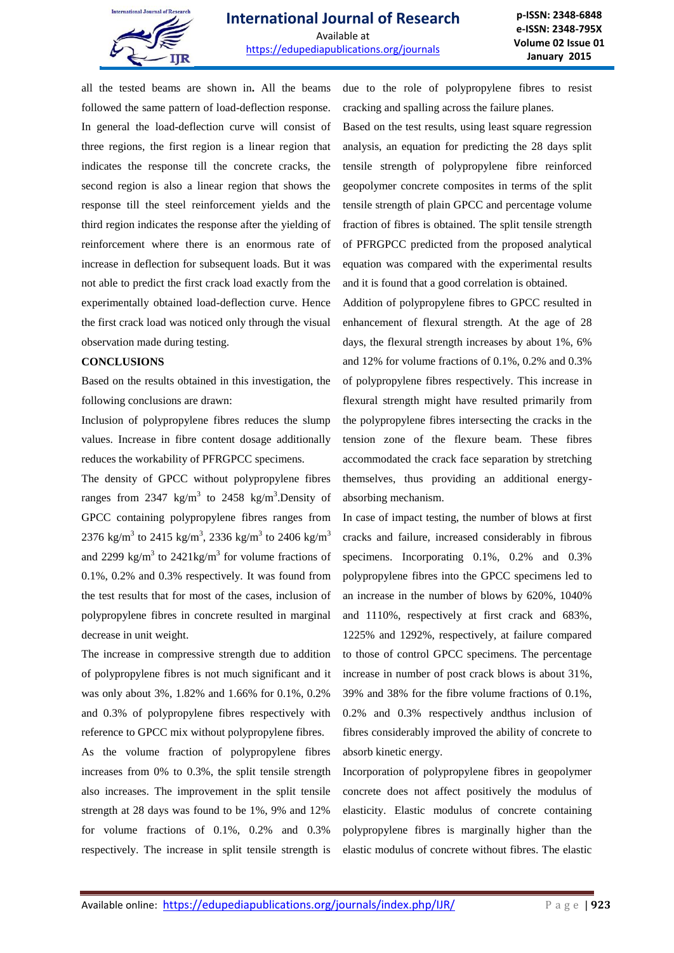

all the tested beams are shown in**.** All the beams followed the same pattern of load-deflection response. In general the load-deflection curve will consist of three regions, the first region is a linear region that indicates the response till the concrete cracks, the second region is also a linear region that shows the response till the steel reinforcement yields and the third region indicates the response after the yielding of reinforcement where there is an enormous rate of increase in deflection for subsequent loads. But it was not able to predict the first crack load exactly from the experimentally obtained load-deflection curve. Hence the first crack load was noticed only through the visual observation made during testing.

#### **CONCLUSIONS**

Based on the results obtained in this investigation, the following conclusions are drawn:

Inclusion of polypropylene fibres reduces the slump values. Increase in fibre content dosage additionally reduces the workability of PFRGPCC specimens.

The density of GPCC without polypropylene fibres ranges from 2347 kg/m<sup>3</sup> to 2458 kg/m<sup>3</sup>. Density of GPCC containing polypropylene fibres ranges from 2376 kg/m<sup>3</sup> to 2415 kg/m<sup>3</sup>, 2336 kg/m<sup>3</sup> to 2406 kg/m<sup>3</sup> and 2299 kg/m<sup>3</sup> to 2421kg/m<sup>3</sup> for volume fractions of 0.1%, 0.2% and 0.3% respectively. It was found from the test results that for most of the cases, inclusion of polypropylene fibres in concrete resulted in marginal decrease in unit weight.

The increase in compressive strength due to addition of polypropylene fibres is not much significant and it was only about 3%, 1.82% and 1.66% for 0.1%, 0.2% and 0.3% of polypropylene fibres respectively with reference to GPCC mix without polypropylene fibres.

As the volume fraction of polypropylene fibres increases from 0% to 0.3%, the split tensile strength also increases. The improvement in the split tensile strength at 28 days was found to be 1%, 9% and 12% for volume fractions of 0.1%, 0.2% and 0.3% respectively. The increase in split tensile strength is due to the role of polypropylene fibres to resist cracking and spalling across the failure planes.

Based on the test results, using least square regression analysis, an equation for predicting the 28 days split tensile strength of polypropylene fibre reinforced geopolymer concrete composites in terms of the split tensile strength of plain GPCC and percentage volume fraction of fibres is obtained. The split tensile strength of PFRGPCC predicted from the proposed analytical equation was compared with the experimental results and it is found that a good correlation is obtained.

Addition of polypropylene fibres to GPCC resulted in enhancement of flexural strength. At the age of 28 days, the flexural strength increases by about 1%, 6% and 12% for volume fractions of 0.1%, 0.2% and 0.3% of polypropylene fibres respectively. This increase in flexural strength might have resulted primarily from the polypropylene fibres intersecting the cracks in the tension zone of the flexure beam. These fibres accommodated the crack face separation by stretching themselves, thus providing an additional energyabsorbing mechanism.

In case of impact testing, the number of blows at first cracks and failure, increased considerably in fibrous specimens. Incorporating 0.1%, 0.2% and 0.3% polypropylene fibres into the GPCC specimens led to an increase in the number of blows by 620%, 1040% and 1110%, respectively at first crack and 683%, 1225% and 1292%, respectively, at failure compared to those of control GPCC specimens. The percentage increase in number of post crack blows is about 31%, 39% and 38% for the fibre volume fractions of 0.1%, 0.2% and 0.3% respectively andthus inclusion of fibres considerably improved the ability of concrete to absorb kinetic energy.

Incorporation of polypropylene fibres in geopolymer concrete does not affect positively the modulus of elasticity. Elastic modulus of concrete containing polypropylene fibres is marginally higher than the elastic modulus of concrete without fibres. The elastic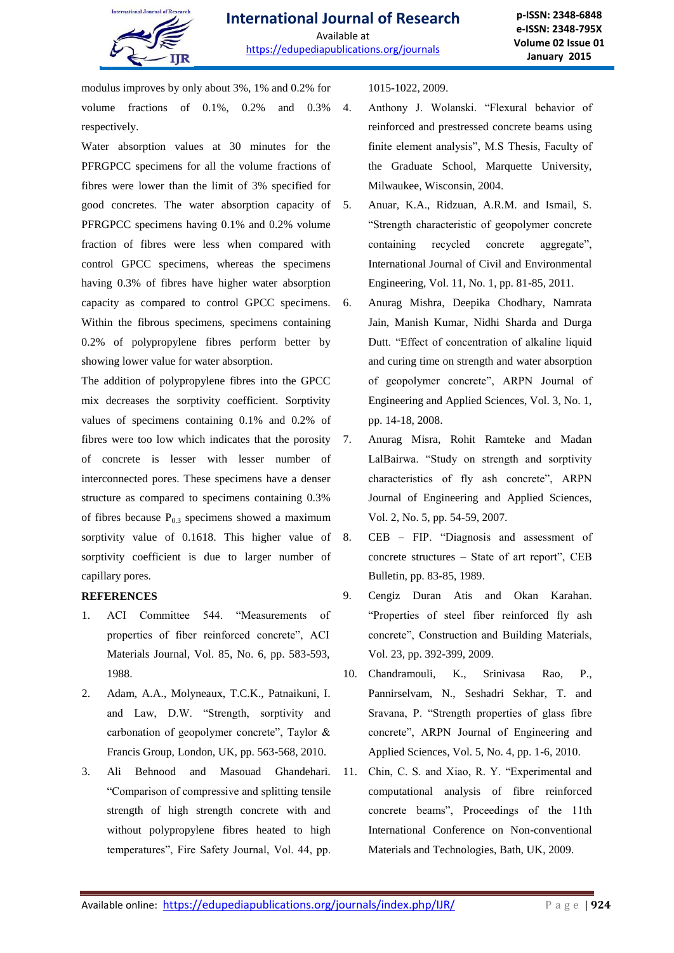

modulus improves by only about 3%, 1% and 0.2% for volume fractions of 0.1%, 0.2% and 0.3% respectively.

Water absorption values at 30 minutes for the PFRGPCC specimens for all the volume fractions of fibres were lower than the limit of 3% specified for good concretes. The water absorption capacity of 5. PFRGPCC specimens having 0.1% and 0.2% volume fraction of fibres were less when compared with control GPCC specimens, whereas the specimens having 0.3% of fibres have higher water absorption capacity as compared to control GPCC specimens. Within the fibrous specimens, specimens containing 0.2% of polypropylene fibres perform better by showing lower value for water absorption.

The addition of polypropylene fibres into the GPCC mix decreases the sorptivity coefficient. Sorptivity values of specimens containing 0.1% and 0.2% of fibres were too low which indicates that the porosity 7. of concrete is lesser with lesser number of interconnected pores. These specimens have a denser structure as compared to specimens containing 0.3% of fibres because  $P_{0,3}$  specimens showed a maximum sorptivity value of 0.1618. This higher value of sorptivity coefficient is due to larger number of capillary pores.

### **REFERENCES**

- 1. ACI Committee 544. "Measurements of properties of fiber reinforced concrete", ACI Materials Journal, Vol. 85, No. 6, pp. 583-593, 1988.
- 2. Adam, A.A., Molyneaux, T.C.K., Patnaikuni, I. and Law, D.W. "Strength, sorptivity and carbonation of geopolymer concrete", Taylor & Francis Group, London, UK, pp. 563-568, 2010.
- 3. Ali Behnood and Masouad Ghandehari. "Comparison of compressive and splitting tensile strength of high strength concrete with and without polypropylene fibres heated to high temperatures", Fire Safety Journal, Vol. 44, pp.

1015-1022, 2009.

- 4. Anthony J. Wolanski. "Flexural behavior of reinforced and prestressed concrete beams using finite element analysis", M.S Thesis, Faculty of the Graduate School, Marquette University, Milwaukee, Wisconsin, 2004.
- 5. Anuar, K.A., Ridzuan, A.R.M. and Ismail, S. "Strength characteristic of geopolymer concrete containing recycled concrete aggregate", International Journal of Civil and Environmental Engineering, Vol. 11, No. 1, pp. 81-85, 2011.
- 6. Anurag Mishra, Deepika Chodhary, Namrata Jain, Manish Kumar, Nidhi Sharda and Durga Dutt. "Effect of concentration of alkaline liquid and curing time on strength and water absorption of geopolymer concrete", ARPN Journal of Engineering and Applied Sciences, Vol. 3, No. 1, pp. 14-18, 2008.
- 7. Anurag Misra, Rohit Ramteke and Madan LalBairwa. "Study on strength and sorptivity characteristics of fly ash concrete", ARPN Journal of Engineering and Applied Sciences, Vol. 2, No. 5, pp. 54-59, 2007.
- 8. CEB FIP. "Diagnosis and assessment of concrete structures – State of art report", CEB Bulletin, pp. 83-85, 1989.
- 9. Cengiz Duran Atis and Okan Karahan. "Properties of steel fiber reinforced fly ash concrete", Construction and Building Materials, Vol. 23, pp. 392-399, 2009.
- 10. Chandramouli, K., Srinivasa Rao, P., Pannirselvam, N., Seshadri Sekhar, T. and Sravana, P. "Strength properties of glass fibre concrete", ARPN Journal of Engineering and Applied Sciences, Vol. 5, No. 4, pp. 1-6, 2010.
- 11. Chin, C. S. and Xiao, R. Y. "Experimental and computational analysis of fibre reinforced concrete beams", Proceedings of the 11th International Conference on Non-conventional Materials and Technologies, Bath, UK, 2009.